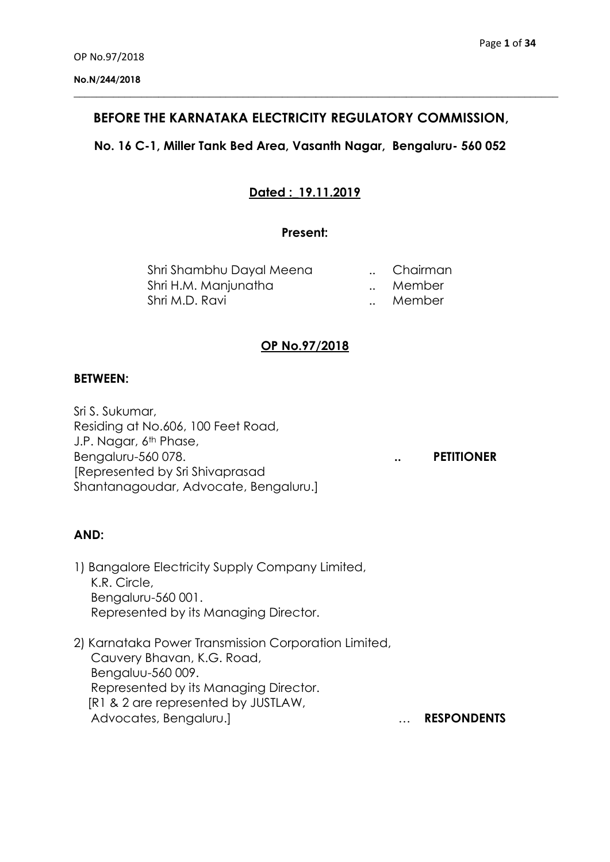# **BEFORE THE KARNATAKA ELECTRICITY REGULATORY COMMISSION,**

**\_\_\_\_\_\_\_\_\_\_\_\_\_\_\_\_\_\_\_\_\_\_\_\_\_\_\_\_\_\_\_\_\_\_\_\_\_\_\_\_\_\_\_\_\_\_\_\_\_\_\_\_\_\_\_\_\_\_\_\_\_\_\_\_\_\_\_\_\_\_\_\_\_\_\_\_\_\_\_\_\_\_\_\_\_\_**

## **No. 16 C-1, Miller Tank Bed Area, Vasanth Nagar, Bengaluru- 560 052**

# **Dated :\_19.11.2019**

### **Present:**

| Shri Shambhu Dayal Meena | Chairman |
|--------------------------|----------|
| Shri H.M. Manjunatha     | Member   |
| Shri M.D. Ravi           | Member   |

### **OP No.97/2018**

#### **BETWEEN:**

Sri S. Sukumar, Residing at No.606, 100 Feet Road, J.P. Nagar, 6<sup>th</sup> Phase, Bengaluru-560 078. **.. PETITIONER** [Represented by Sri Shivaprasad Shantanagoudar, Advocate, Bengaluru.]

#### **AND:**

- 1) Bangalore Electricity Supply Company Limited, K.R. Circle, Bengaluru-560 001. Represented by its Managing Director.
- 2) Karnataka Power Transmission Corporation Limited, Cauvery Bhavan, K.G. Road, Bengaluu-560 009. Represented by its Managing Director. [R1 & 2 are represented by JUSTLAW, Advocates, Bengaluru.] … **RESPONDENTS**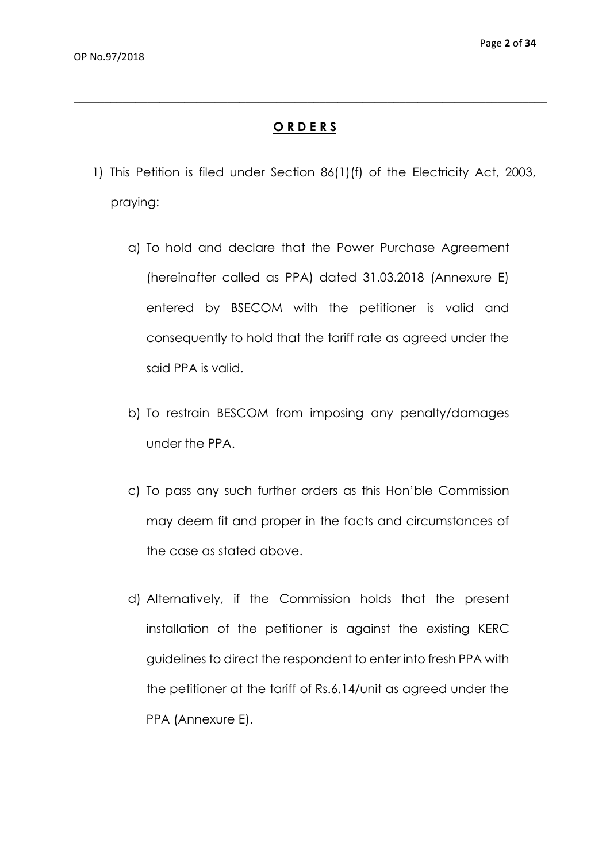### **O R D E R S**

**\_\_\_\_\_\_\_\_\_\_\_\_\_\_\_\_\_\_\_\_\_\_\_\_\_\_\_\_\_\_\_\_\_\_\_\_\_\_\_\_\_\_\_\_\_\_\_\_\_\_\_\_\_\_\_\_\_\_\_\_\_\_\_\_\_\_\_\_\_\_\_\_\_\_\_\_\_**

- 1) This Petition is filed under Section 86(1)(f) of the Electricity Act, 2003, praying:
	- a) To hold and declare that the Power Purchase Agreement (hereinafter called as PPA) dated 31.03.2018 (Annexure E) entered by BSECOM with the petitioner is valid and consequently to hold that the tariff rate as agreed under the said PPA is valid.
	- b) To restrain BESCOM from imposing any penalty/damages under the PPA.
	- c) To pass any such further orders as this Hon'ble Commission may deem fit and proper in the facts and circumstances of the case as stated above.
	- d) Alternatively, if the Commission holds that the present installation of the petitioner is against the existing KERC guidelines to direct the respondent to enter into fresh PPA with the petitioner at the tariff of Rs.6.14/unit as agreed under the PPA (Annexure E).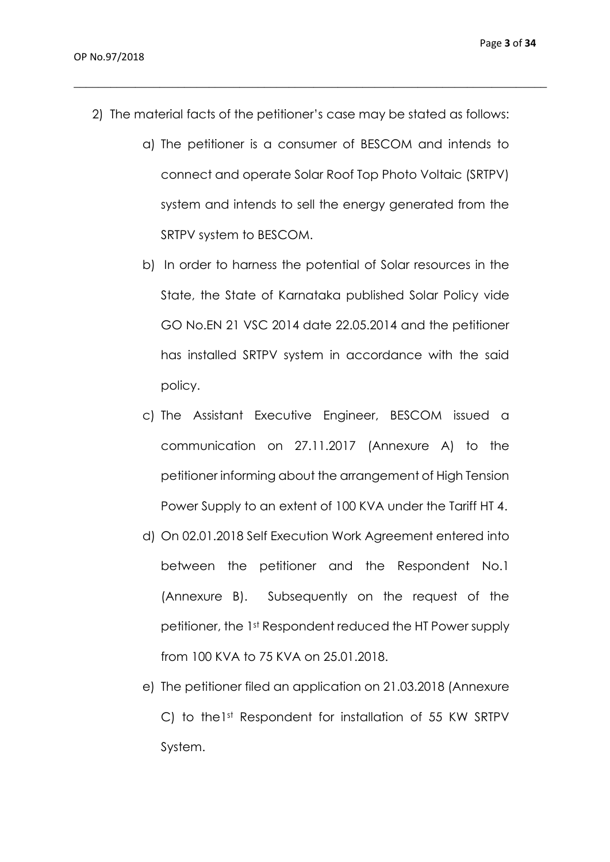2) The material facts of the petitioner's case may be stated as follows:

- a) The petitioner is a consumer of BESCOM and intends to connect and operate Solar Roof Top Photo Voltaic (SRTPV) system and intends to sell the energy generated from the SRTPV system to BESCOM.
- b) In order to harness the potential of Solar resources in the State, the State of Karnataka published Solar Policy vide GO No.EN 21 VSC 2014 date 22.05.2014 and the petitioner has installed SRTPV system in accordance with the said policy.
- c) The Assistant Executive Engineer, BESCOM issued a communication on 27.11.2017 (Annexure A) to the petitioner informing about the arrangement of High Tension Power Supply to an extent of 100 KVA under the Tariff HT 4.
- d) On 02.01.2018 Self Execution Work Agreement entered into between the petitioner and the Respondent No.1 (Annexure B). Subsequently on the request of the petitioner, the 1st Respondent reduced the HT Power supply from 100 KVA to 75 KVA on 25.01.2018.
- e) The petitioner filed an application on 21.03.2018 (Annexure C) to the1st Respondent for installation of 55 KW SRTPV System.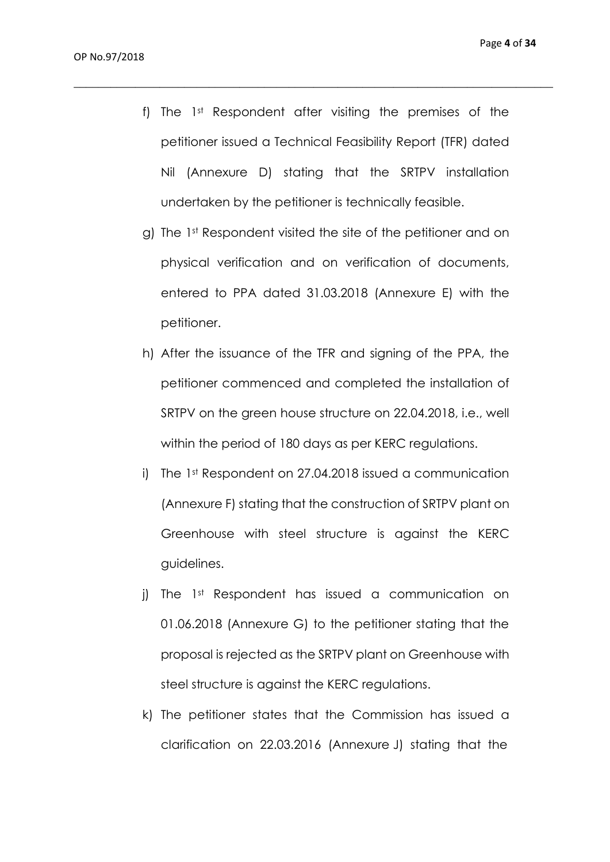f) The 1st Respondent after visiting the premises of the petitioner issued a Technical Feasibility Report (TFR) dated Nil (Annexure D) stating that the SRTPV installation undertaken by the petitioner is technically feasible.

- g) The 1st Respondent visited the site of the petitioner and on physical verification and on verification of documents, entered to PPA dated 31.03.2018 (Annexure E) with the petitioner.
- h) After the issuance of the TFR and signing of the PPA, the petitioner commenced and completed the installation of SRTPV on the green house structure on 22.04.2018, i.e., well within the period of 180 days as per KERC regulations.
- i) The 1st Respondent on 27.04.2018 issued a communication (Annexure F) stating that the construction of SRTPV plant on Greenhouse with steel structure is against the KERC guidelines.
- j) The 1st Respondent has issued a communication on 01.06.2018 (Annexure G) to the petitioner stating that the proposal is rejected as the SRTPV plant on Greenhouse with steel structure is against the KERC regulations.
- k) The petitioner states that the Commission has issued a clarification on 22.03.2016 (Annexure J) stating that the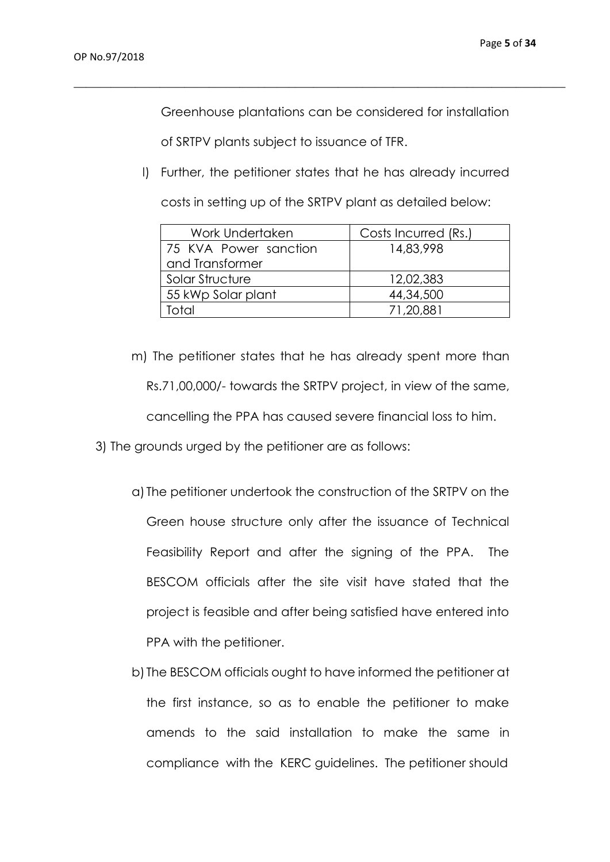Greenhouse plantations can be considered for installation

 $\_$  , and the set of the set of the set of the set of the set of the set of the set of the set of the set of the set of the set of the set of the set of the set of the set of the set of the set of the set of the set of th

of SRTPV plants subject to issuance of TFR.

l) Further, the petitioner states that he has already incurred

costs in setting up of the SRTPV plant as detailed below:

| Work Undertaken       | Costs Incurred (Rs.) |
|-----------------------|----------------------|
| 75 KVA Power sanction | 14,83,998            |
| and Transformer       |                      |
| Solar Structure       | 12,02,383            |
| 55 kWp Solar plant    | 44,34,500            |
| Total                 | 71,20,881            |

- m) The petitioner states that he has already spent more than Rs.71,00,000/- towards the SRTPV project, in view of the same, cancelling the PPA has caused severe financial loss to him.
- 3) The grounds urged by the petitioner are as follows:
	- a) The petitioner undertook the construction of the SRTPV on the Green house structure only after the issuance of Technical Feasibility Report and after the signing of the PPA. The BESCOM officials after the site visit have stated that the project is feasible and after being satisfied have entered into PPA with the petitioner.
	- b) The BESCOM officials ought to have informed the petitioner at the first instance, so as to enable the petitioner to make amends to the said installation to make the same in compliance with the KERC guidelines. The petitioner should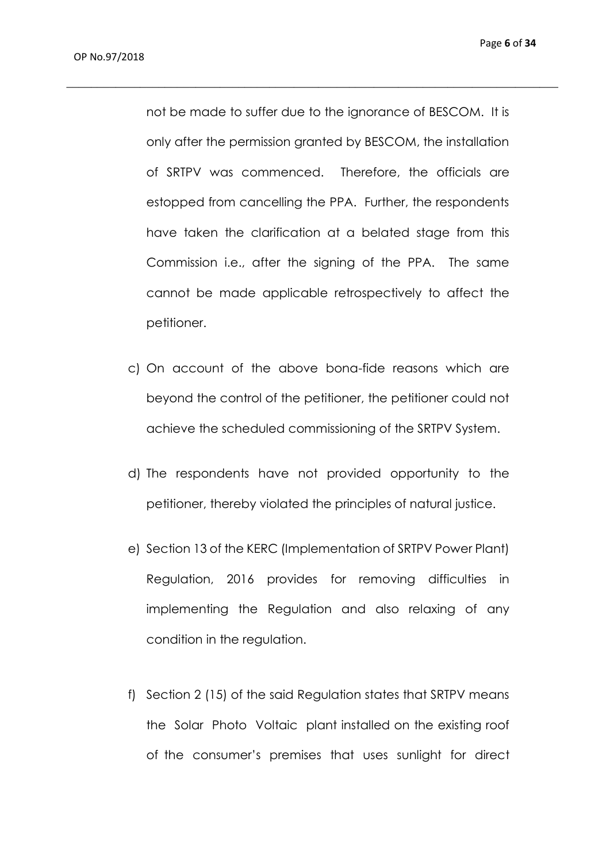not be made to suffer due to the ignorance of BESCOM. It is only after the permission granted by BESCOM, the installation of SRTPV was commenced. Therefore, the officials are estopped from cancelling the PPA. Further, the respondents have taken the clarification at a belated stage from this Commission i.e., after the signing of the PPA. The same cannot be made applicable retrospectively to affect the petitioner.

- c) On account of the above bona-fide reasons which are beyond the control of the petitioner, the petitioner could not achieve the scheduled commissioning of the SRTPV System.
- d) The respondents have not provided opportunity to the petitioner, thereby violated the principles of natural justice.
- e) Section 13 of the KERC (Implementation of SRTPV Power Plant) Regulation, 2016 provides for removing difficulties in implementing the Regulation and also relaxing of any condition in the regulation.
- f) Section 2 (15) of the said Regulation states that SRTPV means the Solar Photo Voltaic plant installed on the existing roof of the consumer's premises that uses sunlight for direct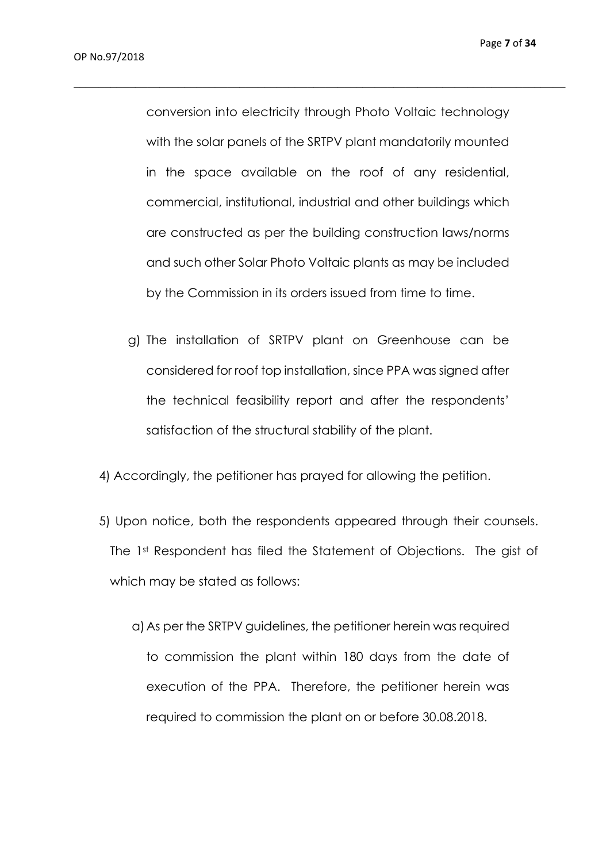conversion into electricity through Photo Voltaic technology with the solar panels of the SRTPV plant mandatorily mounted in the space available on the roof of any residential, commercial, institutional, industrial and other buildings which are constructed as per the building construction laws/norms and such other Solar Photo Voltaic plants as may be included by the Commission in its orders issued from time to time.

- g) The installation of SRTPV plant on Greenhouse can be considered for roof top installation, since PPA was signed after the technical feasibility report and after the respondents' satisfaction of the structural stability of the plant.
- 4) Accordingly, the petitioner has prayed for allowing the petition.
- 5) Upon notice, both the respondents appeared through their counsels. The 1st Respondent has filed the Statement of Objections. The gist of which may be stated as follows:
	- a)As per the SRTPV guidelines, the petitioner herein was required to commission the plant within 180 days from the date of execution of the PPA. Therefore, the petitioner herein was required to commission the plant on or before 30.08.2018.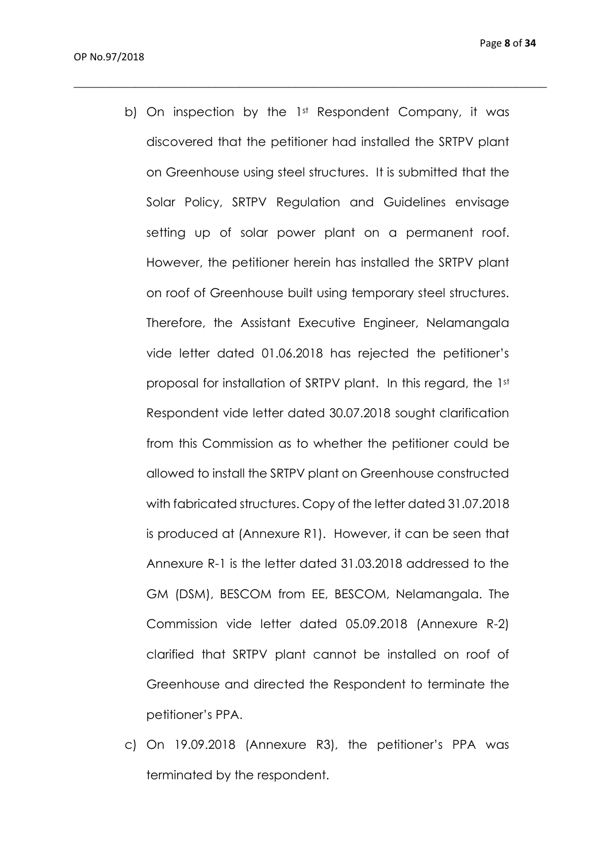b) On inspection by the 1<sup>st</sup> Respondent Company, it was discovered that the petitioner had installed the SRTPV plant on Greenhouse using steel structures. It is submitted that the Solar Policy, SRTPV Regulation and Guidelines envisage setting up of solar power plant on a permanent roof. However, the petitioner herein has installed the SRTPV plant on roof of Greenhouse built using temporary steel structures. Therefore, the Assistant Executive Engineer, Nelamangala vide letter dated 01.06.2018 has rejected the petitioner's proposal for installation of SRTPV plant. In this regard, the 1st Respondent vide letter dated 30.07.2018 sought clarification from this Commission as to whether the petitioner could be allowed to install the SRTPV plant on Greenhouse constructed with fabricated structures. Copy of the letter dated 31.07.2018 is produced at (Annexure R1). However, it can be seen that Annexure R-1 is the letter dated 31.03.2018 addressed to the GM (DSM), BESCOM from EE, BESCOM, Nelamangala. The Commission vide letter dated 05.09.2018 (Annexure R-2) clarified that SRTPV plant cannot be installed on roof of Greenhouse and directed the Respondent to terminate the petitioner's PPA.

 $\_$  , and the set of the set of the set of the set of the set of the set of the set of the set of the set of the set of the set of the set of the set of the set of the set of the set of the set of the set of the set of th

c) On 19.09.2018 (Annexure R3), the petitioner's PPA was terminated by the respondent.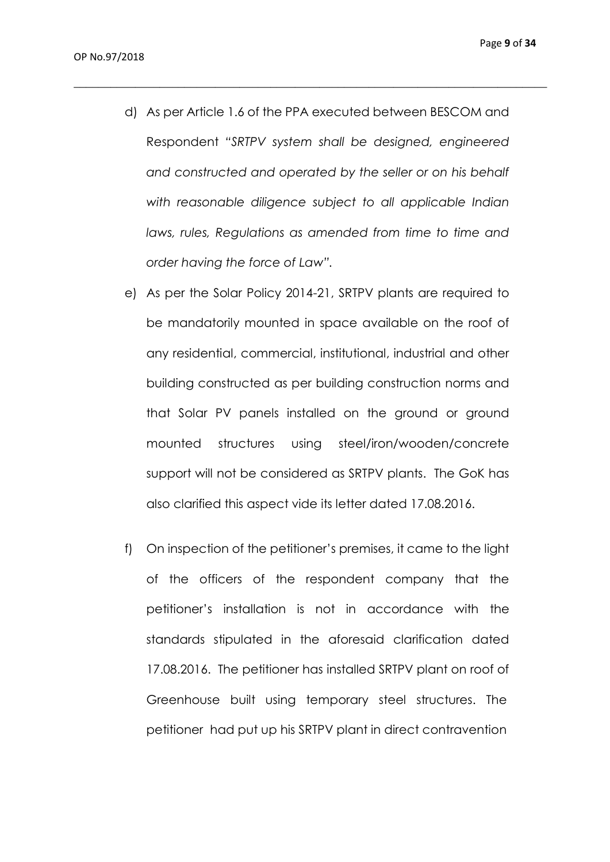d) As per Article 1.6 of the PPA executed between BESCOM and Respondent *"SRTPV system shall be designed, engineered and constructed and operated by the seller or on his behalf with reasonable diligence subject to all applicable Indian laws, rules, Regulations as amended from time to time and order having the force of Law".*

- e) As per the Solar Policy 2014-21, SRTPV plants are required to be mandatorily mounted in space available on the roof of any residential, commercial, institutional, industrial and other building constructed as per building construction norms and that Solar PV panels installed on the ground or ground mounted structures using steel/iron/wooden/concrete support will not be considered as SRTPV plants. The GoK has also clarified this aspect vide its letter dated 17.08.2016.
- f) On inspection of the petitioner's premises, it came to the light of the officers of the respondent company that the petitioner's installation is not in accordance with the standards stipulated in the aforesaid clarification dated 17.08.2016. The petitioner has installed SRTPV plant on roof of Greenhouse built using temporary steel structures. The petitioner had put up his SRTPV plant in direct contravention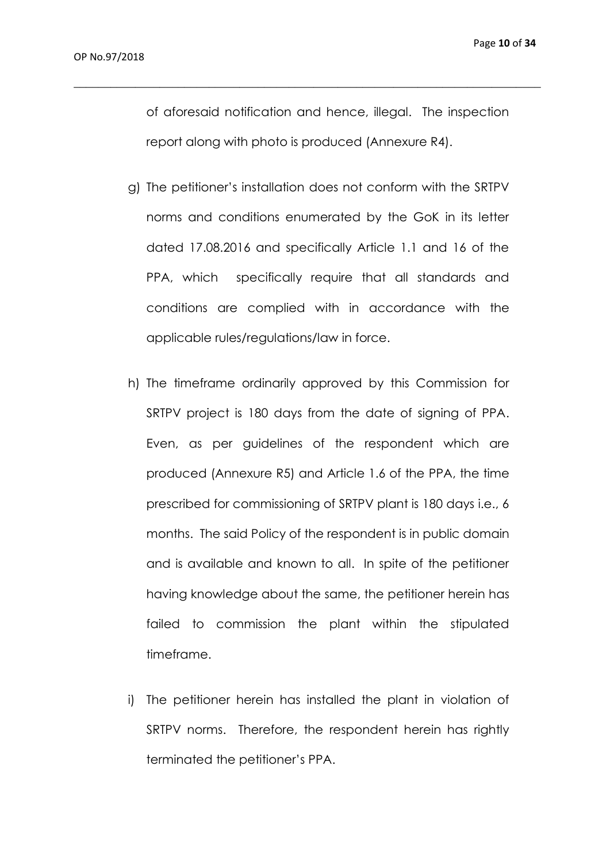of aforesaid notification and hence, illegal. The inspection report along with photo is produced (Annexure R4).

- g) The petitioner's installation does not conform with the SRTPV norms and conditions enumerated by the GoK in its letter dated 17.08.2016 and specifically Article 1.1 and 16 of the PPA, which specifically require that all standards and conditions are complied with in accordance with the applicable rules/regulations/law in force.
- h) The timeframe ordinarily approved by this Commission for SRTPV project is 180 days from the date of signing of PPA. Even, as per guidelines of the respondent which are produced (Annexure R5) and Article 1.6 of the PPA, the time prescribed for commissioning of SRTPV plant is 180 days i.e., 6 months. The said Policy of the respondent is in public domain and is available and known to all. In spite of the petitioner having knowledge about the same, the petitioner herein has failed to commission the plant within the stipulated timeframe.
- i) The petitioner herein has installed the plant in violation of SRTPV norms. Therefore, the respondent herein has rightly terminated the petitioner's PPA.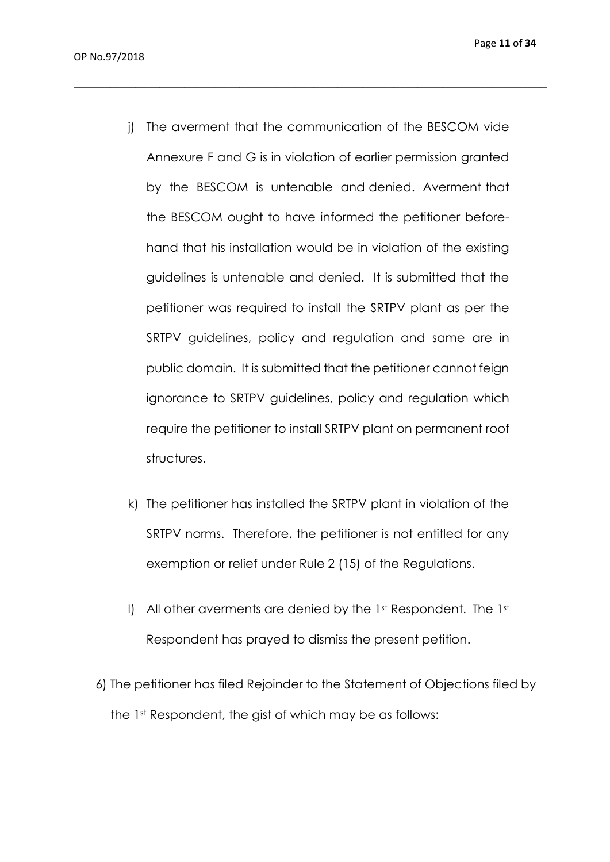j) The averment that the communication of the BESCOM vide Annexure F and G is in violation of earlier permission granted by the BESCOM is untenable and denied. Averment that the BESCOM ought to have informed the petitioner beforehand that his installation would be in violation of the existing guidelines is untenable and denied. It is submitted that the petitioner was required to install the SRTPV plant as per the SRTPV guidelines, policy and regulation and same are in public domain. It is submitted that the petitioner cannot feign ignorance to SRTPV guidelines, policy and regulation which require the petitioner to install SRTPV plant on permanent roof structures.

- k) The petitioner has installed the SRTPV plant in violation of the SRTPV norms. Therefore, the petitioner is not entitled for any exemption or relief under Rule 2 (15) of the Regulations.
- l) All other averments are denied by the 1st Respondent. The 1st Respondent has prayed to dismiss the present petition.
- 6) The petitioner has filed Rejoinder to the Statement of Objections filed by the 1st Respondent, the gist of which may be as follows: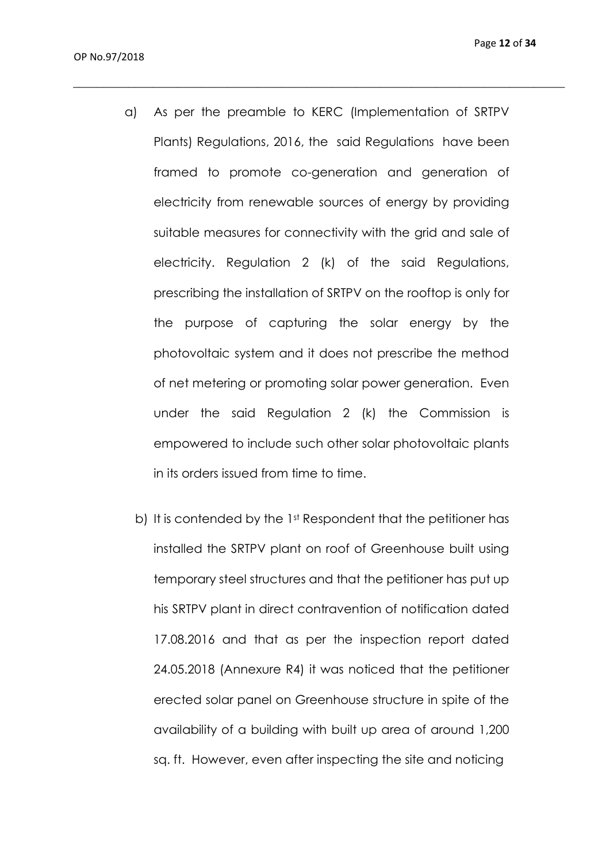a) As per the preamble to KERC (Implementation of SRTPV Plants) Regulations, 2016, the said Regulations have been framed to promote co-generation and generation of electricity from renewable sources of energy by providing suitable measures for connectivity with the grid and sale of electricity. Regulation 2 (k) of the said Regulations, prescribing the installation of SRTPV on the rooftop is only for the purpose of capturing the solar energy by the photovoltaic system and it does not prescribe the method of net metering or promoting solar power generation. Even under the said Regulation 2 (k) the Commission is empowered to include such other solar photovoltaic plants in its orders issued from time to time.

\_\_\_\_\_\_\_\_\_\_\_\_\_\_\_\_\_\_\_\_\_\_\_\_\_\_\_\_\_\_\_\_\_\_\_\_\_\_\_\_\_\_\_\_\_\_\_\_\_\_\_\_\_\_\_\_\_\_\_\_\_\_\_\_\_\_\_\_\_\_\_\_\_\_\_\_\_\_\_\_

b) It is contended by the 1st Respondent that the petitioner has installed the SRTPV plant on roof of Greenhouse built using temporary steel structures and that the petitioner has put up his SRTPV plant in direct contravention of notification dated 17.08.2016 and that as per the inspection report dated 24.05.2018 (Annexure R4) it was noticed that the petitioner erected solar panel on Greenhouse structure in spite of the availability of a building with built up area of around 1,200 sq. ft. However, even after inspecting the site and noticing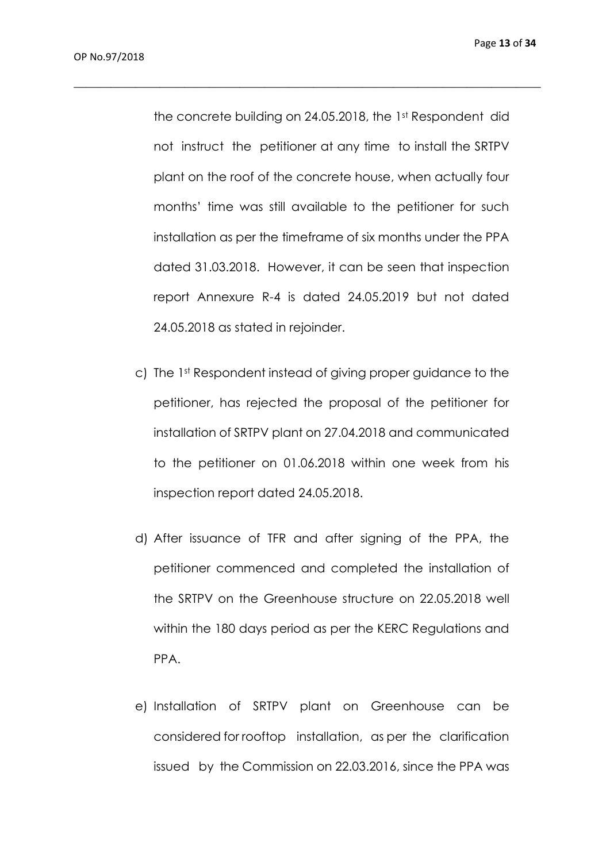the concrete building on 24.05.2018, the 1st Respondent did not instruct the petitioner at any time to install the SRTPV plant on the roof of the concrete house, when actually four months' time was still available to the petitioner for such installation as per the timeframe of six months under the PPA dated 31.03.2018. However, it can be seen that inspection report Annexure R-4 is dated 24.05.2019 but not dated 24.05.2018 as stated in rejoinder.

- c) The 1st Respondent instead of giving proper guidance to the petitioner, has rejected the proposal of the petitioner for installation of SRTPV plant on 27.04.2018 and communicated to the petitioner on 01.06.2018 within one week from his inspection report dated 24.05.2018.
- d) After issuance of TFR and after signing of the PPA, the petitioner commenced and completed the installation of the SRTPV on the Greenhouse structure on 22.05.2018 well within the 180 days period as per the KERC Regulations and PPA.
- e) Installation of SRTPV plant on Greenhouse can be considered for rooftop installation, as per the clarification issued by the Commission on 22.03.2016, since the PPA was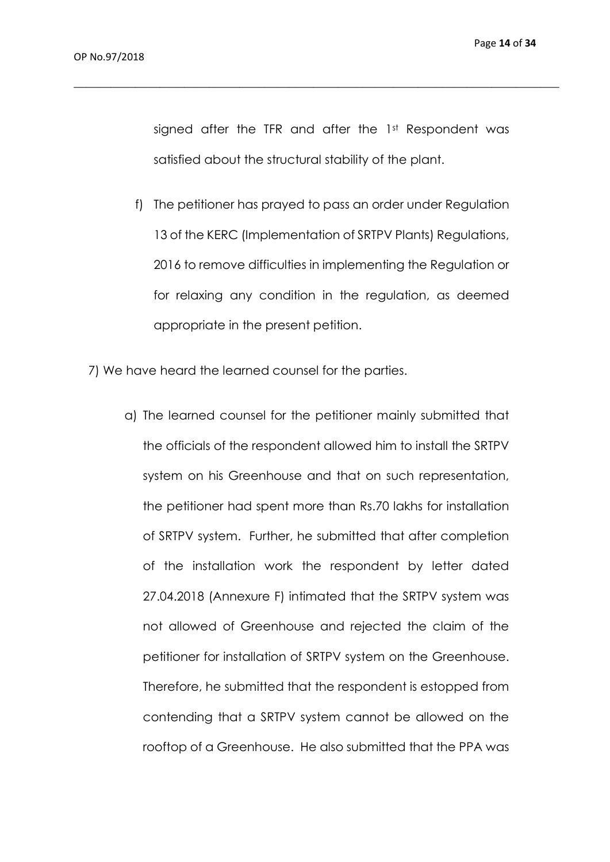signed after the TFR and after the 1st Respondent was satisfied about the structural stability of the plant.

- f) The petitioner has prayed to pass an order under Regulation 13 of the KERC (Implementation of SRTPV Plants) Regulations, 2016 to remove difficulties in implementing the Regulation or for relaxing any condition in the regulation, as deemed appropriate in the present petition.
- 7) We have heard the learned counsel for the parties.
	- a) The learned counsel for the petitioner mainly submitted that the officials of the respondent allowed him to install the SRTPV system on his Greenhouse and that on such representation, the petitioner had spent more than Rs.70 lakhs for installation of SRTPV system. Further, he submitted that after completion of the installation work the respondent by letter dated 27.04.2018 (Annexure F) intimated that the SRTPV system was not allowed of Greenhouse and rejected the claim of the petitioner for installation of SRTPV system on the Greenhouse. Therefore, he submitted that the respondent is estopped from contending that a SRTPV system cannot be allowed on the rooftop of a Greenhouse. He also submitted that the PPA was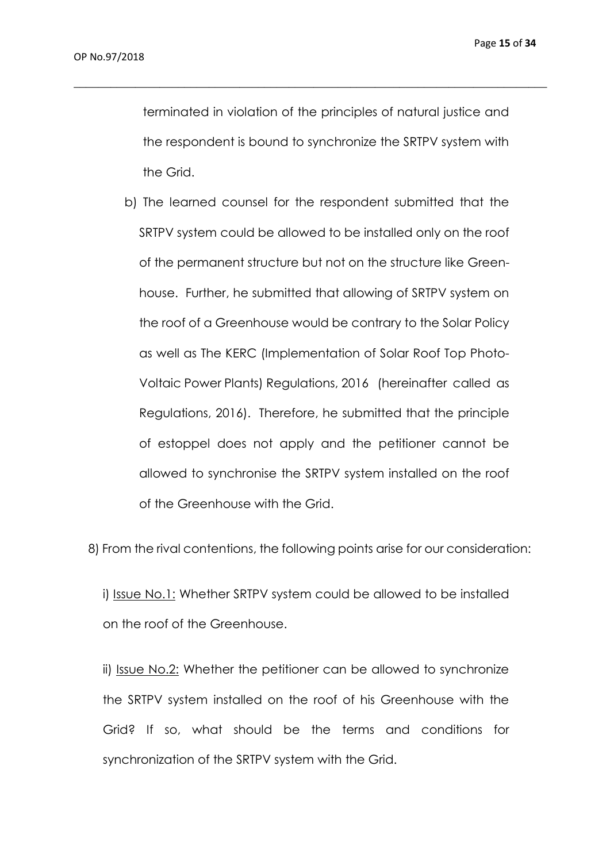terminated in violation of the principles of natural justice and the respondent is bound to synchronize the SRTPV system with the Grid.

 $\_$  , and the set of the set of the set of the set of the set of the set of the set of the set of the set of the set of the set of the set of the set of the set of the set of the set of the set of the set of the set of th

b) The learned counsel for the respondent submitted that the SRTPV system could be allowed to be installed only on the roof of the permanent structure but not on the structure like Greenhouse. Further, he submitted that allowing of SRTPV system on the roof of a Greenhouse would be contrary to the Solar Policy as well as The KERC (Implementation of Solar Roof Top Photo-Voltaic Power Plants) Regulations, 2016 (hereinafter called as Regulations, 2016). Therefore, he submitted that the principle of estoppel does not apply and the petitioner cannot be allowed to synchronise the SRTPV system installed on the roof of the Greenhouse with the Grid.

8) From the rival contentions, the following points arise for our consideration:

i) Issue No.1: Whether SRTPV system could be allowed to be installed on the roof of the Greenhouse.

ii) Issue No.2: Whether the petitioner can be allowed to synchronize the SRTPV system installed on the roof of his Greenhouse with the Grid? If so, what should be the terms and conditions for synchronization of the SRTPV system with the Grid.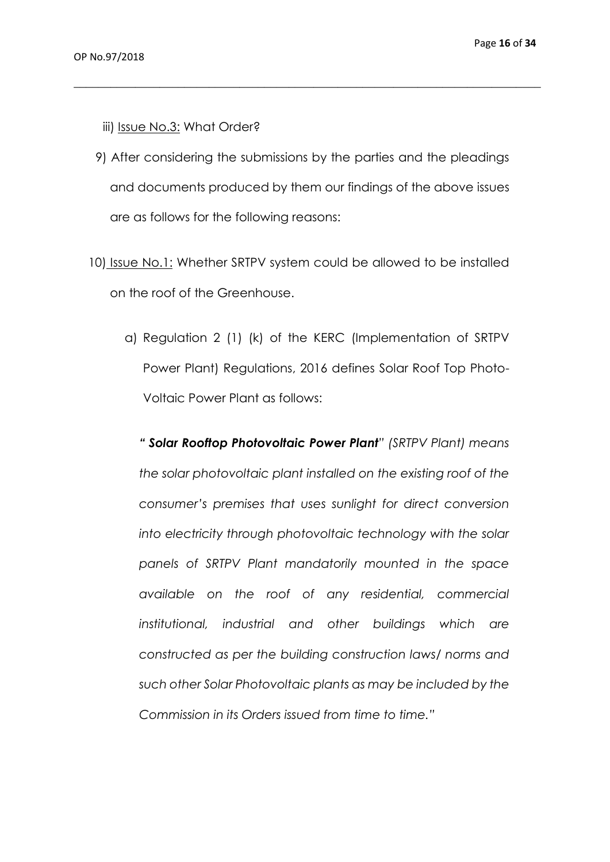- iii) Issue No.3: What Order?
- 9) After considering the submissions by the parties and the pleadings and documents produced by them our findings of the above issues are as follows for the following reasons:

 $\_$  , and the set of the set of the set of the set of the set of the set of the set of the set of the set of the set of the set of the set of the set of the set of the set of the set of the set of the set of the set of th

- 10) Issue No.1: Whether SRTPV system could be allowed to be installed on the roof of the Greenhouse.
	- a) Regulation 2 (1) (k) of the KERC (Implementation of SRTPV Power Plant) Regulations, 2016 defines Solar Roof Top Photo-Voltaic Power Plant as follows:

*" Solar Rooftop Photovoltaic Power Plant" (SRTPV Plant) means the solar photovoltaic plant installed on the existing roof of the consumer's premises that uses sunlight for direct conversion into electricity through photovoltaic technology with the solar panels of SRTPV Plant mandatorily mounted in the space available on the roof of any residential, commercial institutional, industrial and other buildings which are constructed as per the building construction laws/ norms and such other Solar Photovoltaic plants as may be included by the Commission in its Orders issued from time to time."*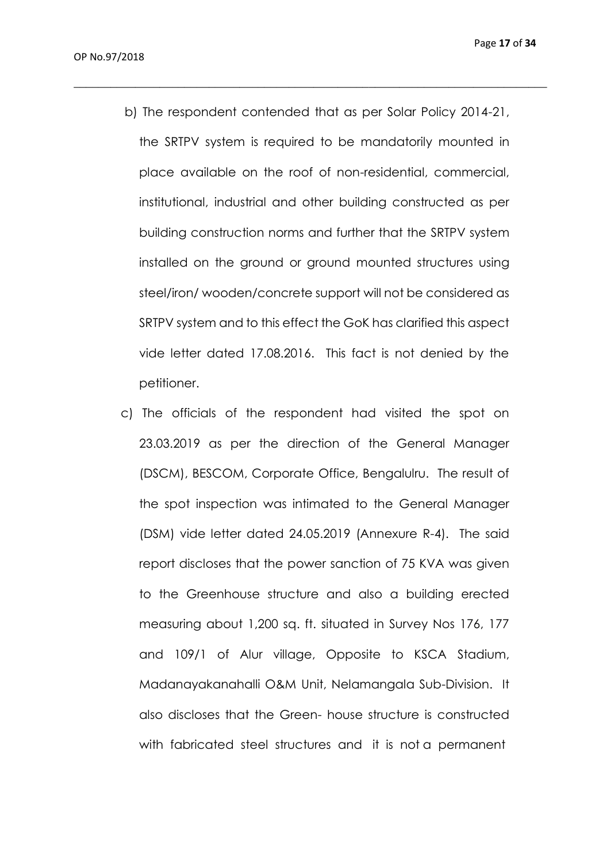b) The respondent contended that as per Solar Policy 2014-21, the SRTPV system is required to be mandatorily mounted in place available on the roof of non-residential, commercial, institutional, industrial and other building constructed as per building construction norms and further that the SRTPV system installed on the ground or ground mounted structures using steel/iron/ wooden/concrete support will not be considered as SRTPV system and to this effect the GoK has clarified this aspect vide letter dated 17.08.2016. This fact is not denied by the petitioner.

 $\_$  , and the set of the set of the set of the set of the set of the set of the set of the set of the set of the set of the set of the set of the set of the set of the set of the set of the set of the set of the set of th

c) The officials of the respondent had visited the spot on 23.03.2019 as per the direction of the General Manager (DSCM), BESCOM, Corporate Office, Bengalulru. The result of the spot inspection was intimated to the General Manager (DSM) vide letter dated 24.05.2019 (Annexure R-4). The said report discloses that the power sanction of 75 KVA was given to the Greenhouse structure and also a building erected measuring about 1,200 sq. ft. situated in Survey Nos 176, 177 and 109/1 of Alur village, Opposite to KSCA Stadium, Madanayakanahalli O&M Unit, Nelamangala Sub-Division. It also discloses that the Green- house structure is constructed with fabricated steel structures and it is not a permanent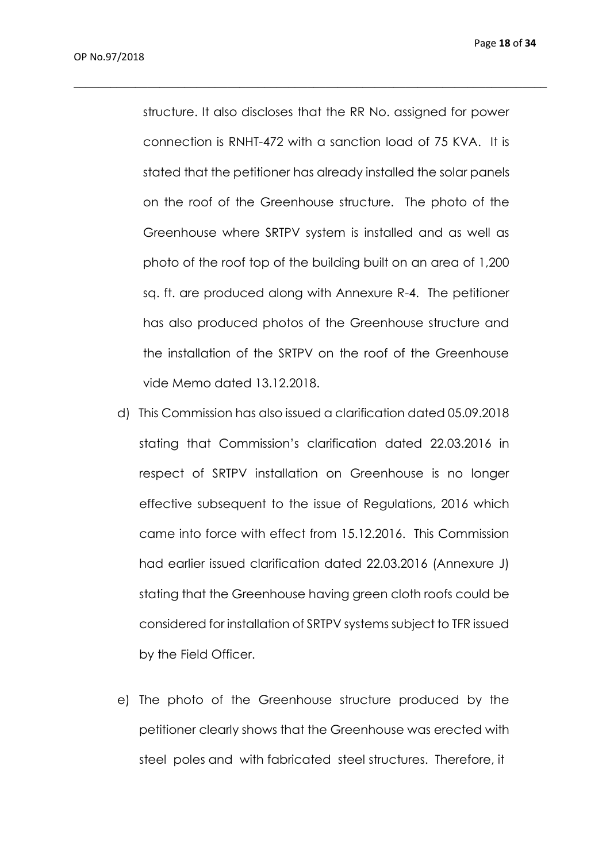structure. It also discloses that the RR No. assigned for power connection is RNHT-472 with a sanction load of 75 KVA. It is stated that the petitioner has already installed the solar panels on the roof of the Greenhouse structure. The photo of the Greenhouse where SRTPV system is installed and as well as photo of the roof top of the building built on an area of 1,200 sq. ft. are produced along with Annexure R-4. The petitioner has also produced photos of the Greenhouse structure and the installation of the SRTPV on the roof of the Greenhouse vide Memo dated 13.12.2018.

- d) This Commission has also issued a clarification dated 05.09.2018 stating that Commission's clarification dated 22.03.2016 in respect of SRTPV installation on Greenhouse is no longer effective subsequent to the issue of Regulations, 2016 which came into force with effect from 15.12.2016. This Commission had earlier issued clarification dated 22.03.2016 (Annexure J) stating that the Greenhouse having green cloth roofs could be considered for installation of SRTPV systems subject to TFR issued by the Field Officer.
- e) The photo of the Greenhouse structure produced by the petitioner clearly shows that the Greenhouse was erected with steel poles and with fabricated steel structures. Therefore, it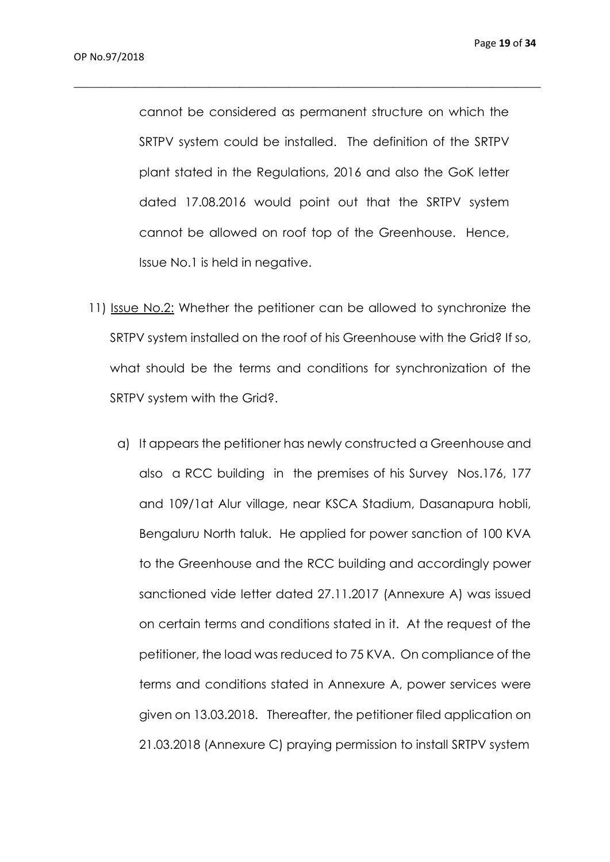cannot be considered as permanent structure on which the SRTPV system could be installed. The definition of the SRTPV plant stated in the Regulations, 2016 and also the GoK letter dated 17.08.2016 would point out that the SRTPV system cannot be allowed on roof top of the Greenhouse. Hence, Issue No.1 is held in negative.

- 11) Issue No.2: Whether the petitioner can be allowed to synchronize the SRTPV system installed on the roof of his Greenhouse with the Grid? If so, what should be the terms and conditions for synchronization of the SRTPV system with the Grid?.
	- a) It appears the petitioner has newly constructed a Greenhouse and also a RCC building in the premises of his Survey Nos.176, 177 and 109/1at Alur village, near KSCA Stadium, Dasanapura hobli, Bengaluru North taluk. He applied for power sanction of 100 KVA to the Greenhouse and the RCC building and accordingly power sanctioned vide letter dated 27.11.2017 (Annexure A) was issued on certain terms and conditions stated in it. At the request of the petitioner, the load was reduced to 75 KVA. On compliance of the terms and conditions stated in Annexure A, power services were given on 13.03.2018. Thereafter, the petitioner filed application on 21.03.2018 (Annexure C) praying permission to install SRTPV system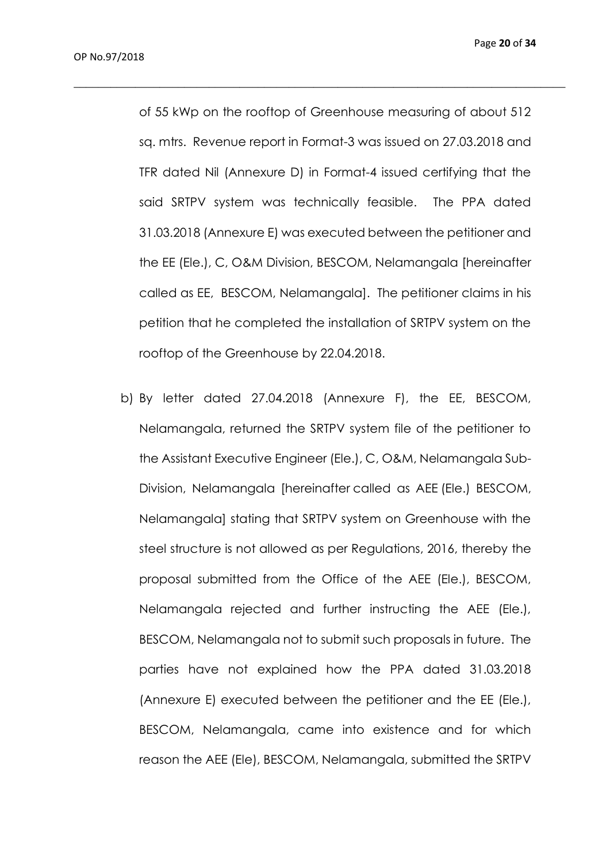of 55 kWp on the rooftop of Greenhouse measuring of about 512 sq. mtrs. Revenue report in Format-3 was issued on 27.03.2018 and TFR dated Nil (Annexure D) in Format-4 issued certifying that the said SRTPV system was technically feasible. The PPA dated 31.03.2018 (Annexure E) was executed between the petitioner and the EE (Ele.), C, O&M Division, BESCOM, Nelamangala [hereinafter called as EE, BESCOM, Nelamangala]. The petitioner claims in his petition that he completed the installation of SRTPV system on the rooftop of the Greenhouse by 22.04.2018.

 $\_$  , and the set of the set of the set of the set of the set of the set of the set of the set of the set of the set of the set of the set of the set of the set of the set of the set of the set of the set of the set of th

b) By letter dated 27.04.2018 (Annexure F), the EE, BESCOM, Nelamangala, returned the SRTPV system file of the petitioner to the Assistant Executive Engineer (Ele.), C, O&M, Nelamangala Sub-Division, Nelamangala [hereinafter called as AEE (Ele.) BESCOM, Nelamangala] stating that SRTPV system on Greenhouse with the steel structure is not allowed as per Regulations, 2016, thereby the proposal submitted from the Office of the AEE (Ele.), BESCOM, Nelamangala rejected and further instructing the AEE (Ele.), BESCOM, Nelamangala not to submit such proposals in future. The parties have not explained how the PPA dated 31.03.2018 (Annexure E) executed between the petitioner and the EE (Ele.), BESCOM, Nelamangala, came into existence and for which reason the AEE (Ele), BESCOM, Nelamangala, submitted the SRTPV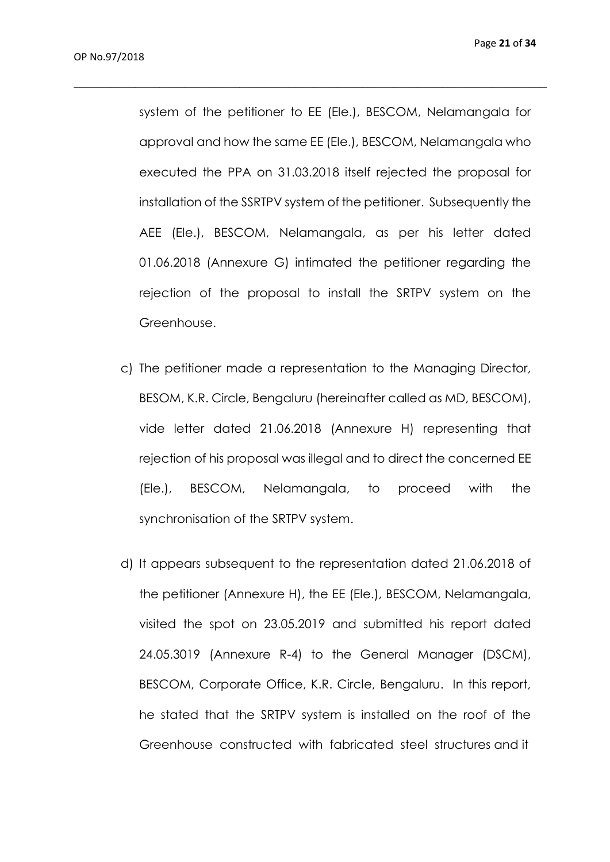system of the petitioner to EE (Ele.), BESCOM, Nelamangala for approval and how the same EE (Ele.), BESCOM, Nelamangala who executed the PPA on 31.03.2018 itself rejected the proposal for installation of the SSRTPV system of the petitioner. Subsequently the AEE (Ele.), BESCOM, Nelamangala, as per his letter dated 01.06.2018 (Annexure G) intimated the petitioner regarding the rejection of the proposal to install the SRTPV system on the Greenhouse.

- c) The petitioner made a representation to the Managing Director, BESOM, K.R. Circle, Bengaluru (hereinafter called as MD, BESCOM), vide letter dated 21.06.2018 (Annexure H) representing that rejection of his proposal was illegal and to direct the concerned EE (Ele.), BESCOM, Nelamangala, to proceed with the synchronisation of the SRTPV system.
- d) It appears subsequent to the representation dated 21.06.2018 of the petitioner (Annexure H), the EE (Ele.), BESCOM, Nelamangala, visited the spot on 23.05.2019 and submitted his report dated 24.05.3019 (Annexure R-4) to the General Manager (DSCM), BESCOM, Corporate Office, K.R. Circle, Bengaluru. In this report, he stated that the SRTPV system is installed on the roof of the Greenhouse constructed with fabricated steel structures and it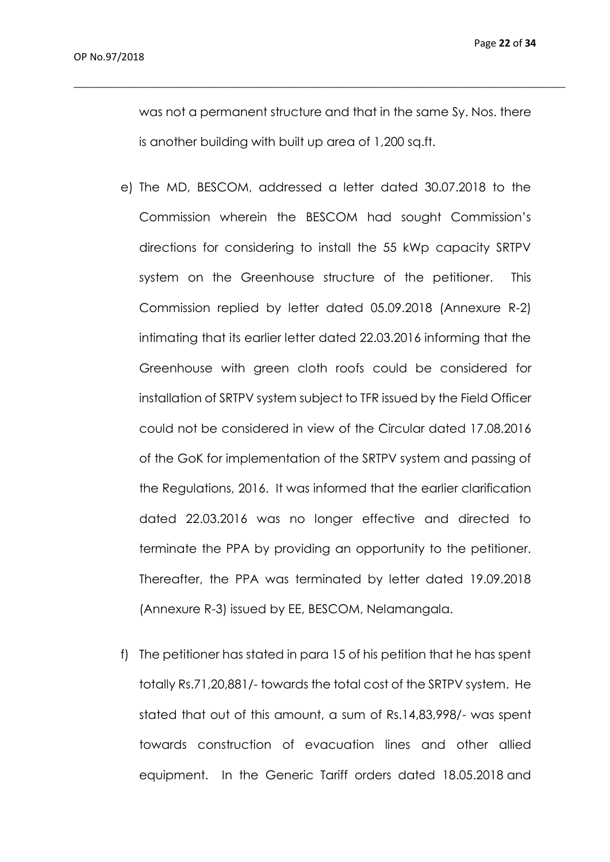was not a permanent structure and that in the same Sy. Nos. there is another building with built up area of 1,200 sq.ft.

- e) The MD, BESCOM, addressed a letter dated 30.07.2018 to the Commission wherein the BESCOM had sought Commission's directions for considering to install the 55 kWp capacity SRTPV system on the Greenhouse structure of the petitioner. This Commission replied by letter dated 05.09.2018 (Annexure R-2) intimating that its earlier letter dated 22.03.2016 informing that the Greenhouse with green cloth roofs could be considered for installation of SRTPV system subject to TFR issued by the Field Officer could not be considered in view of the Circular dated 17.08.2016 of the GoK for implementation of the SRTPV system and passing of the Regulations, 2016. It was informed that the earlier clarification dated 22.03.2016 was no longer effective and directed to terminate the PPA by providing an opportunity to the petitioner. Thereafter, the PPA was terminated by letter dated 19.09.2018 (Annexure R-3) issued by EE, BESCOM, Nelamangala.
- f) The petitioner has stated in para 15 of his petition that he has spent totally Rs.71,20,881/- towards the total cost of the SRTPV system. He stated that out of this amount, a sum of Rs.14,83,998/- was spent towards construction of evacuation lines and other allied equipment. In the Generic Tariff orders dated 18.05.2018 and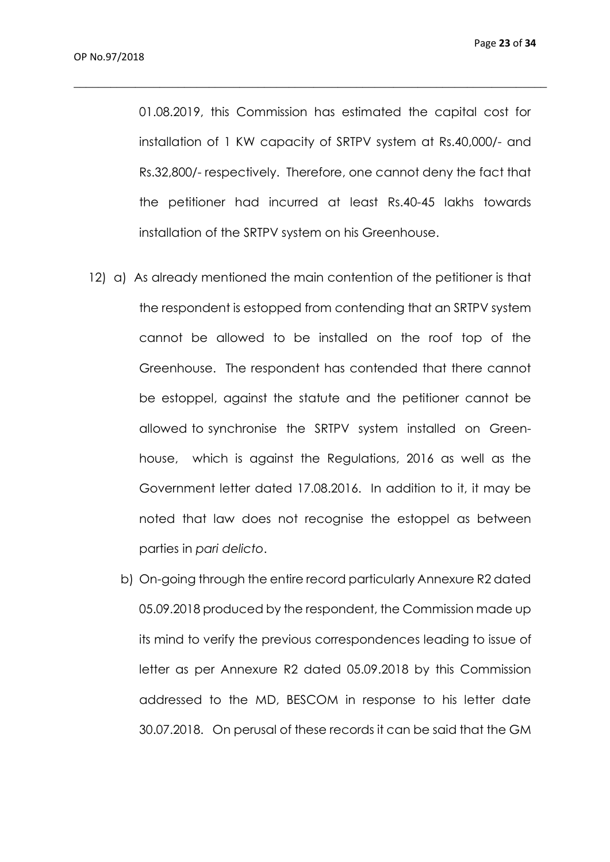01.08.2019, this Commission has estimated the capital cost for installation of 1 KW capacity of SRTPV system at Rs.40,000/- and Rs.32,800/- respectively. Therefore, one cannot deny the fact that the petitioner had incurred at least Rs.40-45 lakhs towards installation of the SRTPV system on his Greenhouse.

- 12) a) As already mentioned the main contention of the petitioner is that the respondent is estopped from contending that an SRTPV system cannot be allowed to be installed on the roof top of the Greenhouse. The respondent has contended that there cannot be estoppel, against the statute and the petitioner cannot be allowed to synchronise the SRTPV system installed on Greenhouse, which is against the Regulations, 2016 as well as the Government letter dated 17.08.2016. In addition to it, it may be noted that law does not recognise the estoppel as between parties in *pari delicto*.
	- b) On-going through the entire record particularly Annexure R2 dated 05.09.2018 produced by the respondent, the Commission made up its mind to verify the previous correspondences leading to issue of letter as per Annexure R2 dated 05.09.2018 by this Commission addressed to the MD, BESCOM in response to his letter date 30.07.2018. On perusal of these records it can be said that the GM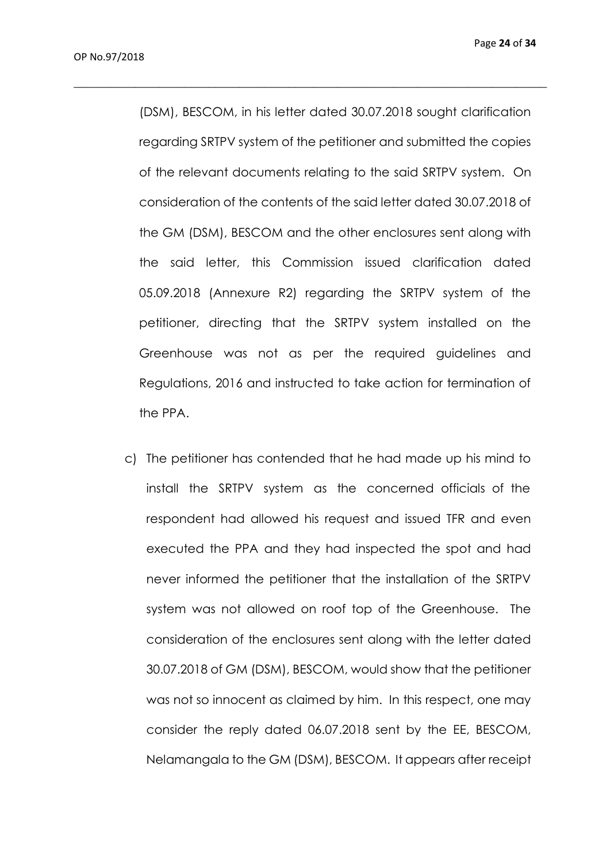(DSM), BESCOM, in his letter dated 30.07.2018 sought clarification regarding SRTPV system of the petitioner and submitted the copies of the relevant documents relating to the said SRTPV system. On consideration of the contents of the said letter dated 30.07.2018 of the GM (DSM), BESCOM and the other enclosures sent along with the said letter, this Commission issued clarification dated 05.09.2018 (Annexure R2) regarding the SRTPV system of the petitioner, directing that the SRTPV system installed on the Greenhouse was not as per the required guidelines and Regulations, 2016 and instructed to take action for termination of the PPA.

 $\_$  , and the set of the set of the set of the set of the set of the set of the set of the set of the set of the set of the set of the set of the set of the set of the set of the set of the set of the set of the set of th

c) The petitioner has contended that he had made up his mind to install the SRTPV system as the concerned officials of the respondent had allowed his request and issued TFR and even executed the PPA and they had inspected the spot and had never informed the petitioner that the installation of the SRTPV system was not allowed on roof top of the Greenhouse. The consideration of the enclosures sent along with the letter dated 30.07.2018 of GM (DSM), BESCOM, would show that the petitioner was not so innocent as claimed by him. In this respect, one may consider the reply dated 06.07.2018 sent by the EE, BESCOM, Nelamangala to the GM (DSM), BESCOM. It appears after receipt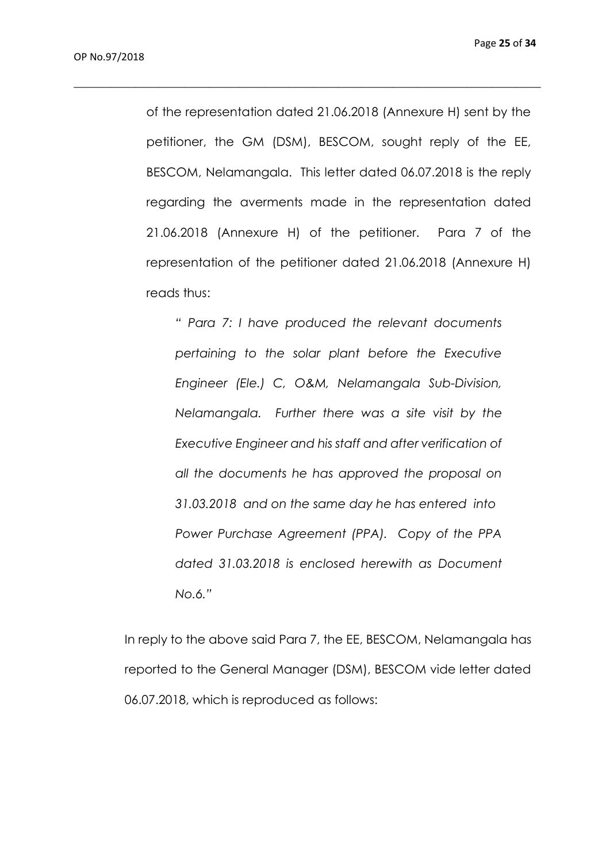of the representation dated 21.06.2018 (Annexure H) sent by the petitioner, the GM (DSM), BESCOM, sought reply of the EE, BESCOM, Nelamangala. This letter dated 06.07.2018 is the reply regarding the averments made in the representation dated 21.06.2018 (Annexure H) of the petitioner. Para 7 of the representation of the petitioner dated 21.06.2018 (Annexure H) reads thus:

 $\_$  , and the set of the set of the set of the set of the set of the set of the set of the set of the set of the set of the set of the set of the set of the set of the set of the set of the set of the set of the set of th

*" Para 7: I have produced the relevant documents pertaining to the solar plant before the Executive Engineer (Ele.) C, O&M, Nelamangala Sub-Division, Nelamangala. Further there was a site visit by the Executive Engineer and his staff and after verification of all the documents he has approved the proposal on 31.03.2018 and on the same day he has entered into Power Purchase Agreement (PPA). Copy of the PPA dated 31.03.2018 is enclosed herewith as Document No.6."*

In reply to the above said Para 7, the EE, BESCOM, Nelamangala has reported to the General Manager (DSM), BESCOM vide letter dated 06.07.2018, which is reproduced as follows: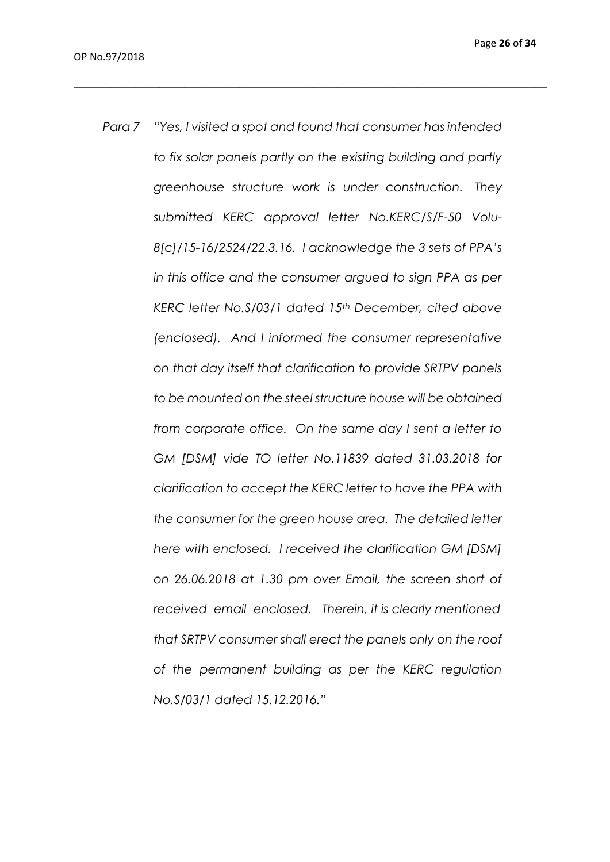*Para 7 "Yes, I visited a spot and found that consumer has intended to fix solar panels partly on the existing building and partly greenhouse structure work is under construction. They submitted KERC approval letter No.KERC/S/F-50 Volu-8[c]/15-16/2524/22.3.16. I acknowledge the 3 sets of PPA's in this office and the consumer argued to sign PPA as per KERC letter No.S/03/1 dated 15th December, cited above (enclosed). And I informed the consumer representative on that day itself that clarification to provide SRTPV panels to be mounted on the steel structure house will be obtained from corporate office. On the same day I sent a letter to GM [DSM] vide TO letter No.11839 dated 31.03.2018 for clarification to accept the KERC letter to have the PPA with the consumer for the green house area. The detailed letter here with enclosed. I received the clarification GM [DSM] on 26.06.2018 at 1.30 pm over Email, the screen short of received email enclosed. Therein, it is clearly mentioned that SRTPV consumer shall erect the panels only on the roof of the permanent building as per the KERC regulation No.S/03/1 dated 15.12.2016."*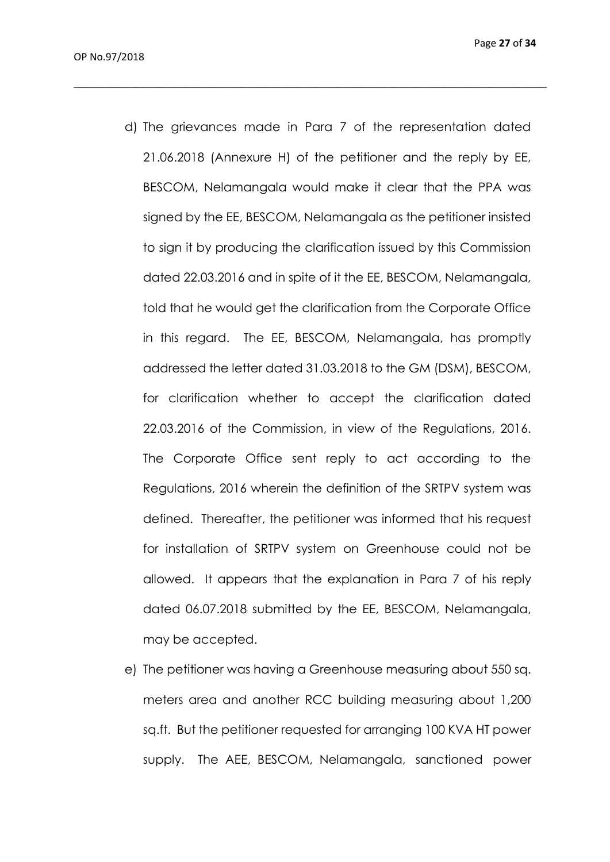d) The grievances made in Para 7 of the representation dated 21.06.2018 (Annexure H) of the petitioner and the reply by EE, BESCOM, Nelamangala would make it clear that the PPA was signed by the EE, BESCOM, Nelamangala as the petitioner insisted to sign it by producing the clarification issued by this Commission dated 22.03.2016 and in spite of it the EE, BESCOM, Nelamangala, told that he would get the clarification from the Corporate Office in this regard. The EE, BESCOM, Nelamangala, has promptly addressed the letter dated 31.03.2018 to the GM (DSM), BESCOM, for clarification whether to accept the clarification dated 22.03.2016 of the Commission, in view of the Regulations, 2016. The Corporate Office sent reply to act according to the Regulations, 2016 wherein the definition of the SRTPV system was defined. Thereafter, the petitioner was informed that his request for installation of SRTPV system on Greenhouse could not be allowed. It appears that the explanation in Para 7 of his reply dated 06.07.2018 submitted by the EE, BESCOM, Nelamangala, may be accepted.

 $\_$  , and the set of the set of the set of the set of the set of the set of the set of the set of the set of the set of the set of the set of the set of the set of the set of the set of the set of the set of the set of th

e) The petitioner was having a Greenhouse measuring about 550 sq. meters area and another RCC building measuring about 1,200 sq.ft. But the petitioner requested for arranging 100 KVA HT power supply. The AEE, BESCOM, Nelamangala, sanctioned power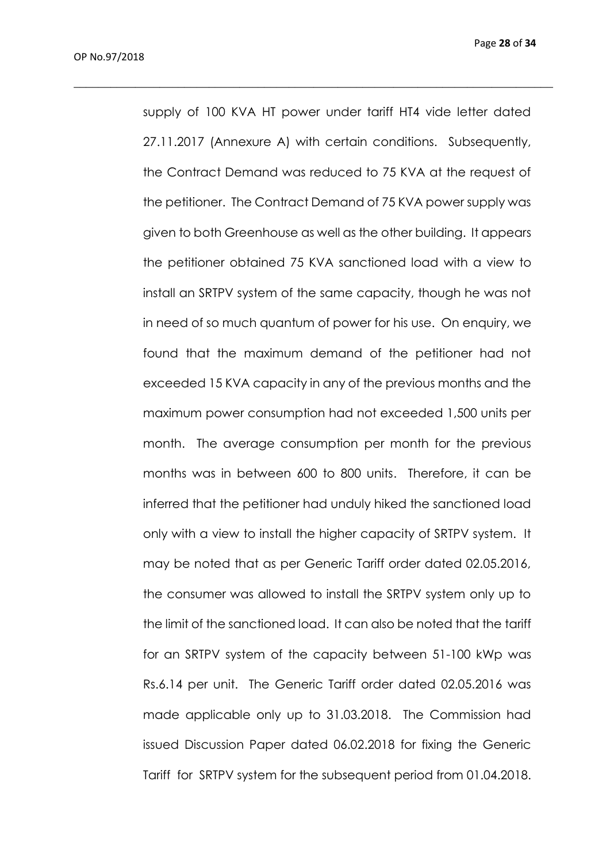Page **28** of **34**

supply of 100 KVA HT power under tariff HT4 vide letter dated 27.11.2017 (Annexure A) with certain conditions. Subsequently, the Contract Demand was reduced to 75 KVA at the request of the petitioner. The Contract Demand of 75 KVA power supply was given to both Greenhouse as well as the other building. It appears the petitioner obtained 75 KVA sanctioned load with a view to install an SRTPV system of the same capacity, though he was not in need of so much quantum of power for his use. On enquiry, we found that the maximum demand of the petitioner had not exceeded 15 KVA capacity in any of the previous months and the maximum power consumption had not exceeded 1,500 units per month. The average consumption per month for the previous months was in between 600 to 800 units. Therefore, it can be inferred that the petitioner had unduly hiked the sanctioned load only with a view to install the higher capacity of SRTPV system. It may be noted that as per Generic Tariff order dated 02.05.2016, the consumer was allowed to install the SRTPV system only up to the limit of the sanctioned load. It can also be noted that the tariff for an SRTPV system of the capacity between 51-100 kWp was Rs.6.14 per unit. The Generic Tariff order dated 02.05.2016 was made applicable only up to 31.03.2018. The Commission had issued Discussion Paper dated 06.02.2018 for fixing the Generic Tariff for SRTPV system for the subsequent period from 01.04.2018.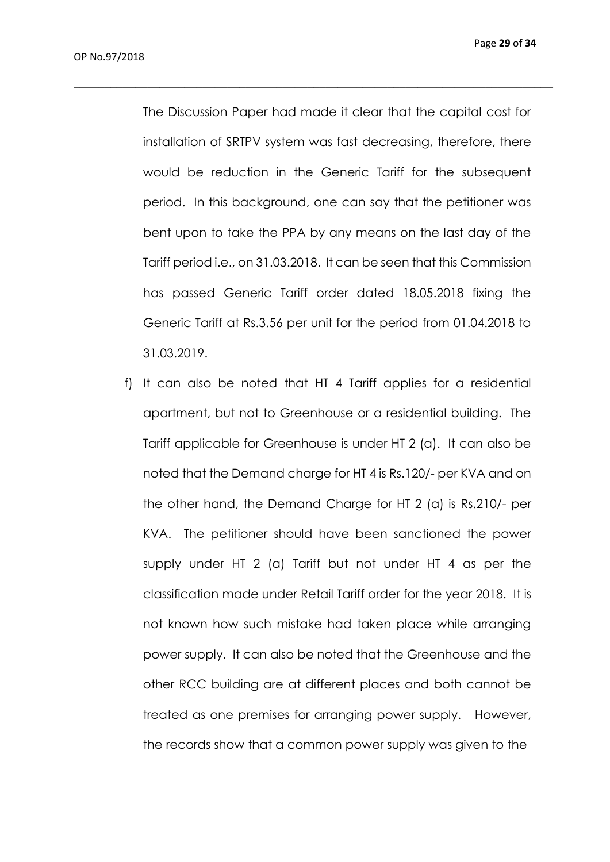The Discussion Paper had made it clear that the capital cost for installation of SRTPV system was fast decreasing, therefore, there would be reduction in the Generic Tariff for the subsequent period. In this background, one can say that the petitioner was bent upon to take the PPA by any means on the last day of the Tariff period i.e., on 31.03.2018. It can be seen that this Commission has passed Generic Tariff order dated 18.05.2018 fixing the Generic Tariff at Rs.3.56 per unit for the period from 01.04.2018 to 31.03.2019.

 $\_$  , and the set of the set of the set of the set of the set of the set of the set of the set of the set of the set of the set of the set of the set of the set of the set of the set of the set of the set of the set of th

f) It can also be noted that HT 4 Tariff applies for a residential apartment, but not to Greenhouse or a residential building. The Tariff applicable for Greenhouse is under HT 2 (a). It can also be noted that the Demand charge for HT 4 is Rs.120/- per KVA and on the other hand, the Demand Charge for HT 2 (a) is Rs.210/- per KVA. The petitioner should have been sanctioned the power supply under HT 2 (a) Tariff but not under HT 4 as per the classification made under Retail Tariff order for the year 2018. It is not known how such mistake had taken place while arranging power supply. It can also be noted that the Greenhouse and the other RCC building are at different places and both cannot be treated as one premises for arranging power supply. However, the records show that a common power supply was given to the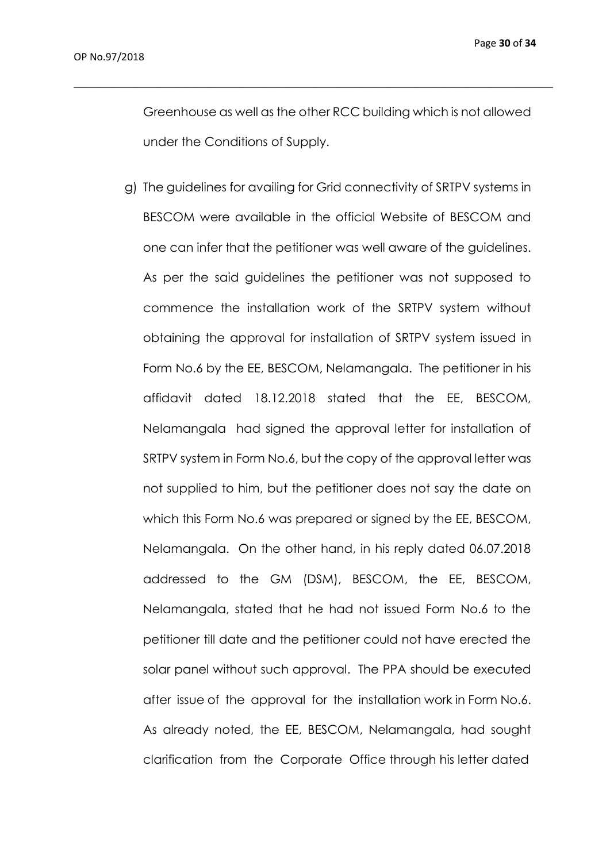Greenhouse as well as the other RCC building which is not allowed under the Conditions of Supply.

 $\_$  , and the set of the set of the set of the set of the set of the set of the set of the set of the set of the set of the set of the set of the set of the set of the set of the set of the set of the set of the set of th

g) The guidelines for availing for Grid connectivity of SRTPV systems in BESCOM were available in the official Website of BESCOM and one can infer that the petitioner was well aware of the guidelines. As per the said guidelines the petitioner was not supposed to commence the installation work of the SRTPV system without obtaining the approval for installation of SRTPV system issued in Form No.6 by the EE, BESCOM, Nelamangala. The petitioner in his affidavit dated 18.12.2018 stated that the EE, BESCOM, Nelamangala had signed the approval letter for installation of SRTPV system in Form No.6, but the copy of the approval letter was not supplied to him, but the petitioner does not say the date on which this Form No.6 was prepared or signed by the EE, BESCOM, Nelamangala. On the other hand, in his reply dated 06.07.2018 addressed to the GM (DSM), BESCOM, the EE, BESCOM, Nelamangala, stated that he had not issued Form No.6 to the petitioner till date and the petitioner could not have erected the solar panel without such approval. The PPA should be executed after issue of the approval for the installation work in Form No.6. As already noted, the EE, BESCOM, Nelamangala, had sought clarification from the Corporate Office through his letter dated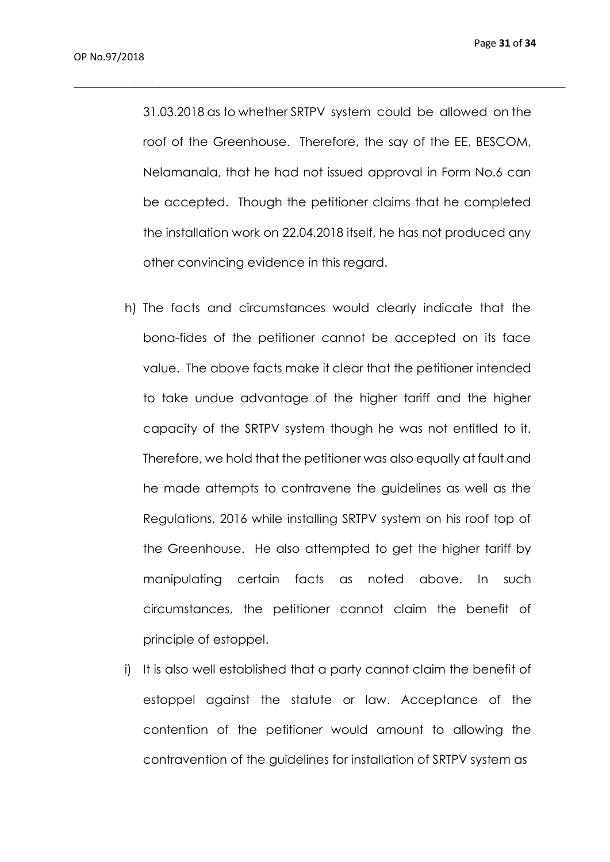31.03.2018 as to whether SRTPV system could be allowed on the roof of the Greenhouse. Therefore, the say of the EE, BESCOM, Nelamanala, that he had not issued approval in Form No.6 can be accepted. Though the petitioner claims that he completed the installation work on 22.04.2018 itself, he has not produced any other convincing evidence in this regard.

- h) The facts and circumstances would clearly indicate that the bona-fides of the petitioner cannot be accepted on its face value. The above facts make it clear that the petitioner intended to take undue advantage of the higher tariff and the higher capacity of the SRTPV system though he was not entitled to it. Therefore, we hold that the petitioner was also equally at fault and he made attempts to contravene the guidelines as well as the Regulations, 2016 while installing SRTPV system on his roof top of the Greenhouse. He also attempted to get the higher tariff by manipulating certain facts as noted above. In such circumstances, the petitioner cannot claim the benefit of principle of estoppel.
- i) It is also well established that a party cannot claim the benefit of estoppel against the statute or law. Acceptance of the contention of the petitioner would amount to allowing the contravention of the guidelines for installation of SRTPV system as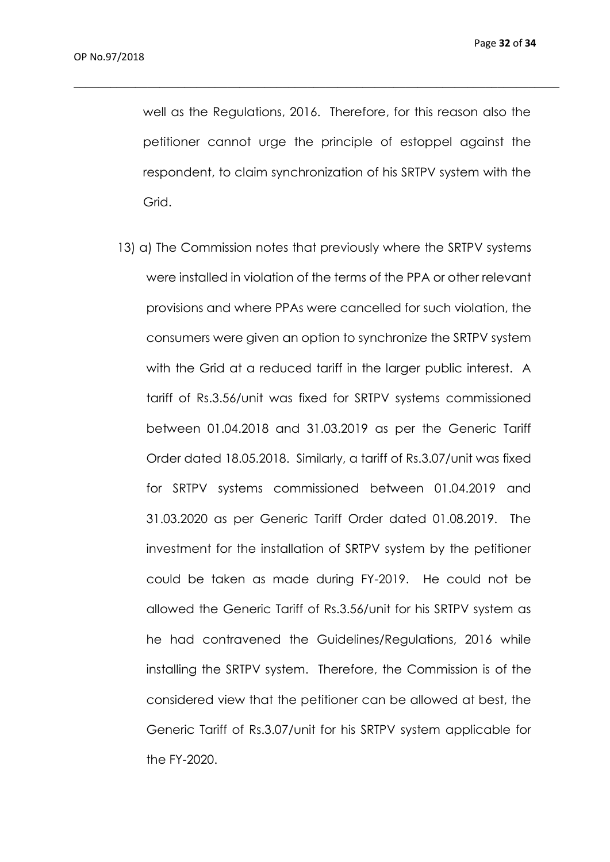well as the Regulations, 2016. Therefore, for this reason also the petitioner cannot urge the principle of estoppel against the respondent, to claim synchronization of his SRTPV system with the Grid.

 $\_$  , and the set of the set of the set of the set of the set of the set of the set of the set of the set of the set of the set of the set of the set of the set of the set of the set of the set of the set of the set of th

13) a) The Commission notes that previously where the SRTPV systems were installed in violation of the terms of the PPA or other relevant provisions and where PPAs were cancelled for such violation, the consumers were given an option to synchronize the SRTPV system with the Grid at a reduced tariff in the larger public interest. A tariff of Rs.3.56/unit was fixed for SRTPV systems commissioned between 01.04.2018 and 31.03.2019 as per the Generic Tariff Order dated 18.05.2018. Similarly, a tariff of Rs.3.07/unit was fixed for SRTPV systems commissioned between 01.04.2019 and 31.03.2020 as per Generic Tariff Order dated 01.08.2019. The investment for the installation of SRTPV system by the petitioner could be taken as made during FY-2019. He could not be allowed the Generic Tariff of Rs.3.56/unit for his SRTPV system as he had contravened the Guidelines/Regulations, 2016 while installing the SRTPV system. Therefore, the Commission is of the considered view that the petitioner can be allowed at best, the Generic Tariff of Rs.3.07/unit for his SRTPV system applicable for the FY-2020.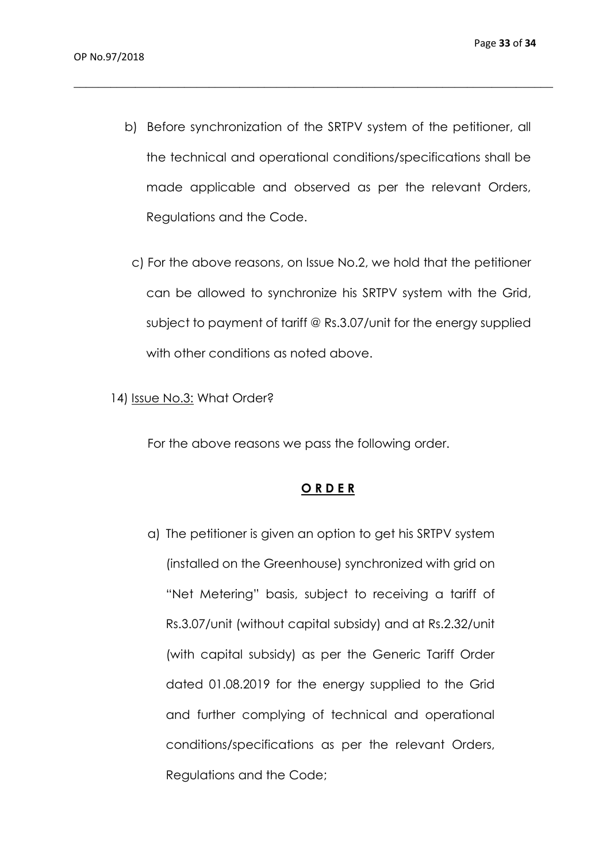b) Before synchronization of the SRTPV system of the petitioner, all the technical and operational conditions/specifications shall be made applicable and observed as per the relevant Orders, Regulations and the Code.

 $\_$  , and the set of the set of the set of the set of the set of the set of the set of the set of the set of the set of the set of the set of the set of the set of the set of the set of the set of the set of the set of th

- c) For the above reasons, on Issue No.2, we hold that the petitioner can be allowed to synchronize his SRTPV system with the Grid, subject to payment of tariff @ Rs.3.07/unit for the energy supplied with other conditions as noted above.
- 14) Issue No.3: What Order?

For the above reasons we pass the following order.

#### **O R D E R**

a) The petitioner is given an option to get his SRTPV system (installed on the Greenhouse) synchronized with grid on "Net Metering" basis, subject to receiving a tariff of Rs.3.07/unit (without capital subsidy) and at Rs.2.32/unit (with capital subsidy) as per the Generic Tariff Order dated 01.08.2019 for the energy supplied to the Grid and further complying of technical and operational conditions/specifications as per the relevant Orders, Regulations and the Code;